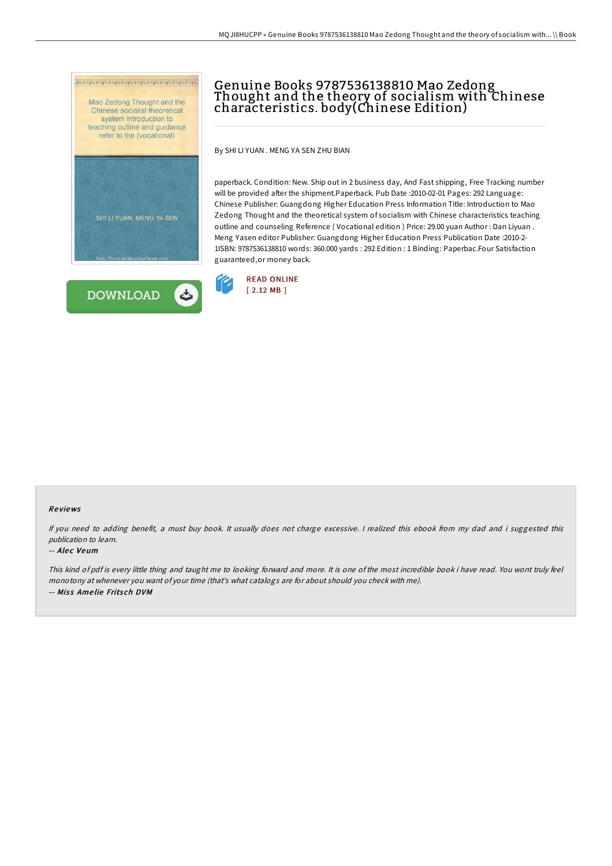



# Genuine Books 9787536138810 Mao Zedong Thought and the theory of socialism with Chinese characteristics. body(Chinese Edition)

By SHI LI YUAN . MENG YA SEN ZHU BIAN

paperback. Condition: New. Ship out in 2 business day, And Fast shipping, Free Tracking number will be provided after the shipment.Paperback. Pub Date :2010-02-01 Pages: 292 Language: Chinese Publisher: Guangdong Higher Education Press Information Title: Introduction to Mao Zedong Thought and the theoretical system of socialism with Chinese characteristics teaching outline and counseling Reference ( Vocational edition ) Price: 29.00 yuan Author : Dan Liyuan . Meng Yasen editor Publisher: Guangdong Higher Education Press Publication Date :2010-2- 1ISBN: 9787536138810 words: 360.000 yards : 292 Edition : 1 Binding: Paperbac.Four Satisfaction guaranteed,or money back.



### Re views

If you need to adding benefit, a must buy book. It usually does not charge excessive. I realized this ebook from my dad and i suggested this publication to learn.

#### -- Alec Veum

This kind of pdf is every little thing and taught me to looking forward and more. It is one of the most incredible book i have read. You wont truly feel monotony at whenever you want of your time (that's what catalogs are for about should you check with me). -- Miss Amelie Fritsch DVM